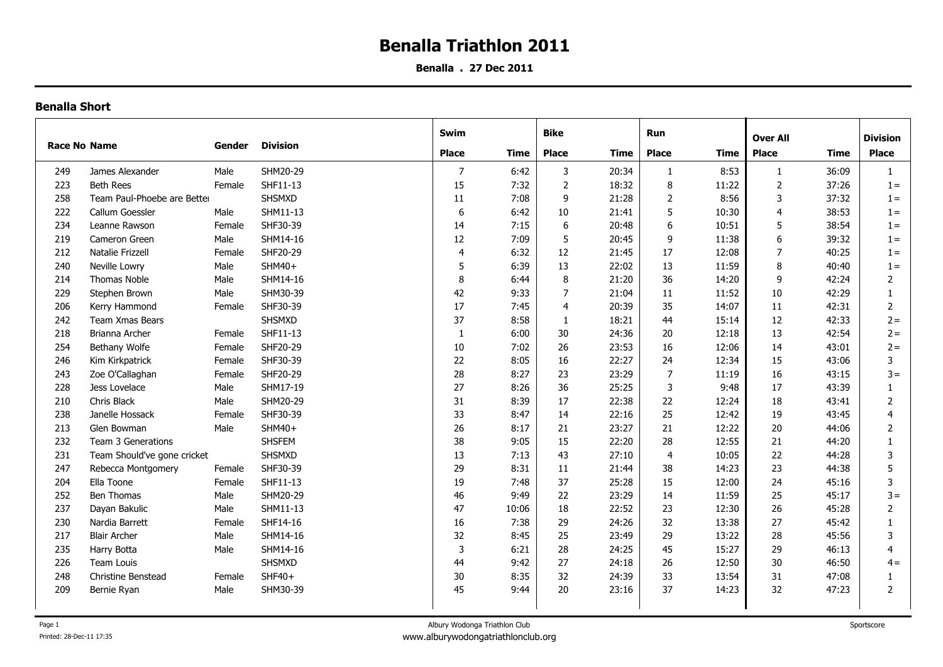## **Benalla Triathlon 2011**

**Benalla . 27 Dec 2011**

## **Benalla Short**

| <b>Race No Name</b> |                             | Gender | <b>Division</b> | Swim           |       | <b>Bike</b>    |       | Run            |       | <b>Over All</b> |       | <b>Division</b> |
|---------------------|-----------------------------|--------|-----------------|----------------|-------|----------------|-------|----------------|-------|-----------------|-------|-----------------|
|                     |                             |        |                 | <b>Place</b>   | Time  | <b>Place</b>   | Time  | <b>Place</b>   | Time  | <b>Place</b>    | Time  | <b>Place</b>    |
| 249                 | James Alexander             | Male   | SHM20-29        | $\overline{7}$ | 6:42  | 3              | 20:34 | -1             | 8:53  | 1               | 36:09 | $\mathbf{1}$    |
| 223                 | <b>Beth Rees</b>            | Female | SHF11-13        | 15             | 7:32  | $\overline{2}$ | 18:32 | 8              | 11:22 | $\overline{2}$  | 37:26 | $1 =$           |
| 258                 | Team Paul-Phoebe are Better |        | <b>SHSMXD</b>   | 11             | 7:08  | 9              | 21:28 | $\overline{2}$ | 8:56  | 3               | 37:32 | $1 =$           |
| 222                 | Callum Goessler             | Male   | SHM11-13        | 6              | 6:42  | 10             | 21:41 | 5              | 10:30 | $\overline{4}$  | 38:53 | $1 =$           |
| 234                 | Leanne Rawson               | Female | SHF30-39        | 14             | 7:15  | 6              | 20:48 | 6              | 10:51 | 5               | 38:54 | $1 =$           |
| 219                 | Cameron Green               | Male   | SHM14-16        | 12             | 7:09  | 5              | 20:45 | 9              | 11:38 | 6               | 39:32 | $1 =$           |
| 212                 | Natalie Frizzell            | Female | SHF20-29        | $\overline{4}$ | 6:32  | 12             | 21:45 | 17             | 12:08 | $\overline{7}$  | 40:25 | $1 =$           |
| 240                 | Neville Lowry               | Male   | SHM40+          | 5              | 6:39  | 13             | 22:02 | 13             | 11:59 | 8               | 40:40 | $1 =$           |
| 214                 | <b>Thomas Noble</b>         | Male   | SHM14-16        | 8              | 6:44  | 8              | 21:20 | 36             | 14:20 | 9               | 42:24 | 2               |
| 229                 | Stephen Brown               | Male   | SHM30-39        | 42             | 9:33  | $\overline{7}$ | 21:04 | 11             | 11:52 | $10\,$          | 42:29 |                 |
| 206                 | Kerry Hammond               | Female | SHF30-39        | 17             | 7:45  | $\overline{4}$ | 20:39 | 35             | 14:07 | 11              | 42:31 | $\overline{2}$  |
| 242                 | Team Xmas Bears             |        | SHSMXD          | 37             | 8:58  | 1              | 18:21 | 44             | 15:14 | 12              | 42:33 | $2 =$           |
| 218                 | Brianna Archer              | Female | SHF11-13        | $\mathbf{1}$   | 6:00  | 30             | 24:36 | 20             | 12:18 | 13              | 42:54 | $2 =$           |
| 254                 | Bethany Wolfe               | Female | SHF20-29        | 10             | 7:02  | 26             | 23:53 | 16             | 12:06 | 14              | 43:01 | $2 =$           |
| 246                 | Kim Kirkpatrick             | Female | SHF30-39        | 22             | 8:05  | 16             | 22:27 | 24             | 12:34 | 15              | 43:06 | 3               |
| 243                 | Zoe O'Callaghan             | Female | SHF20-29        | 28             | 8:27  | 23             | 23:29 | $\overline{7}$ | 11:19 | 16              | 43:15 | $3 =$           |
| 228                 | Jess Lovelace               | Male   | SHM17-19        | 27             | 8:26  | 36             | 25:25 | 3              | 9:48  | 17              | 43:39 | 1               |
| 210                 | Chris Black                 | Male   | SHM20-29        | 31             | 8:39  | 17             | 22:38 | 22             | 12:24 | 18              | 43:41 | $\overline{2}$  |
| 238                 | Janelle Hossack             | Female | SHF30-39        | 33             | 8:47  | 14             | 22:16 | 25             | 12:42 | 19              | 43:45 | 4               |
| 213                 | Glen Bowman                 | Male   | SHM40+          | 26             | 8:17  | 21             | 23:27 | 21             | 12:22 | 20              | 44:06 | 2               |
| 232                 | Team 3 Generations          |        | <b>SHSFEM</b>   | 38             | 9:05  | 15             | 22:20 | 28             | 12:55 | 21              | 44:20 | $\mathbf{1}$    |
| 231                 | Team Should've gone cricket |        | SHSMXD          | 13             | 7:13  | 43             | 27:10 | $\overline{4}$ | 10:05 | 22              | 44:28 | 3               |
| 247                 | Rebecca Montgomery          | Female | SHF30-39        | 29             | 8:31  | 11             | 21:44 | 38             | 14:23 | 23              | 44:38 | 5               |
| 204                 | Ella Toone                  | Female | SHF11-13        | 19             | 7:48  | 37             | 25:28 | 15             | 12:00 | 24              | 45:16 | 3               |
| 252                 | Ben Thomas                  | Male   | SHM20-29        | 46             | 9:49  | 22             | 23:29 | 14             | 11:59 | 25              | 45:17 | $3 =$           |
| 237                 | Dayan Bakulic               | Male   | SHM11-13        | 47             | 10:06 | 18             | 22:52 | 23             | 12:30 | 26              | 45:28 | $\overline{2}$  |
| 230                 | Nardia Barrett              | Female | SHF14-16        | 16             | 7:38  | 29             | 24:26 | 32             | 13:38 | 27              | 45:42 | $\mathbf{1}$    |
| 217                 | <b>Blair Archer</b>         | Male   | SHM14-16        | 32             | 8:45  | 25             | 23:49 | 29             | 13:22 | 28              | 45:56 | 3               |
| 235                 | Harry Botta                 | Male   | SHM14-16        | 3              | 6:21  | 28             | 24:25 | 45             | 15:27 | 29              | 46:13 | 4               |
| 226                 | Team Louis                  |        | SHSMXD          | 44             | 9:42  | 27             | 24:18 | 26             | 12:50 | $30\,$          | 46:50 | $4 =$           |
| 248                 | Christine Benstead          | Female | $SHF40+$        | 30             | 8:35  | 32             | 24:39 | 33             | 13:54 | 31              | 47:08 |                 |
| 209                 | Bernie Ryan                 | Male   | SHM30-39        | 45             | 9:44  | 20             | 23:16 | 37             | 14:23 | 32              | 47:23 | $\overline{2}$  |
|                     |                             |        |                 |                |       |                |       |                |       |                 |       |                 |